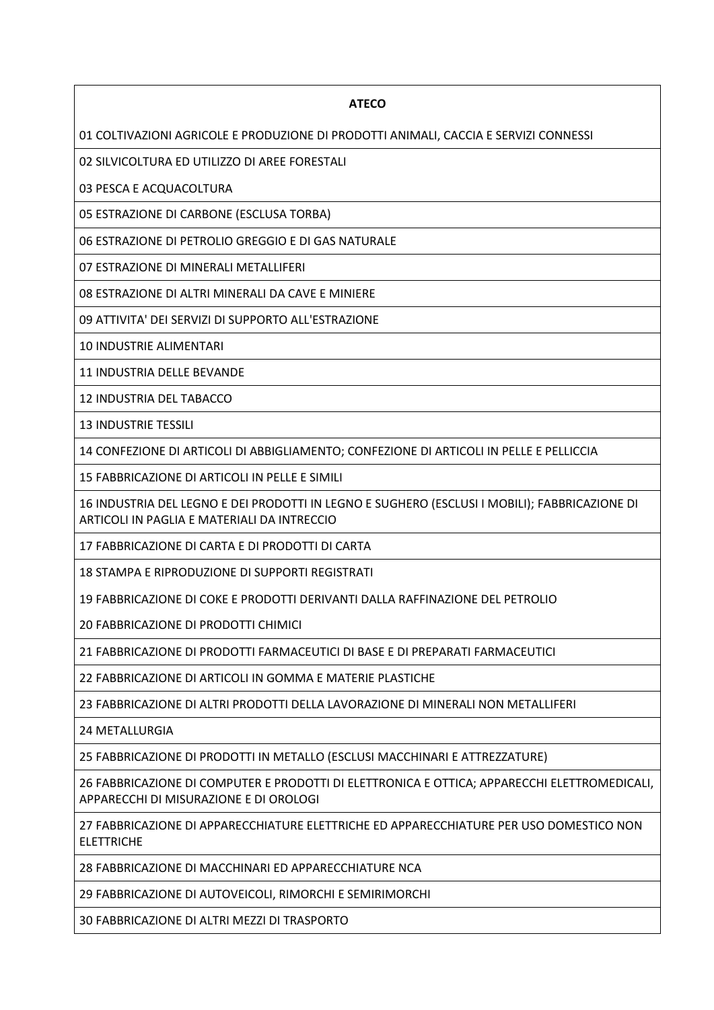## **ATECO**

01 COLTIVAZIONI AGRICOLE E PRODUZIONE DI PRODOTTI ANIMALI, CACCIA E SERVIZI CONNESSI

02 SILVICOLTURA ED UTILIZZO DI AREE FORESTALI

03 PESCA E ACQUACOLTURA

05 ESTRAZIONE DI CARBONE (ESCLUSA TORBA)

06 ESTRAZIONE DI PETROLIO GREGGIO E DI GAS NATURALE

07 ESTRAZIONE DI MINERALI METALLIFERI

08 ESTRAZIONE DI ALTRI MINERALI DA CAVE E MINIERE

09 ATTIVITA' DEI SERVIZI DI SUPPORTO ALL'ESTRAZIONE

10 INDUSTRIE ALIMENTARI

11 INDUSTRIA DELLE BEVANDE

12 INDUSTRIA DEL TABACCO

13 INDUSTRIE TESSILI

14 CONFEZIONE DI ARTICOLI DI ABBIGLIAMENTO; CONFEZIONE DI ARTICOLI IN PELLE E PELLICCIA

15 FABBRICAZIONE DI ARTICOLI IN PELLE E SIMILI

16 INDUSTRIA DEL LEGNO E DEI PRODOTTI IN LEGNO E SUGHERO (ESCLUSI I MOBILI); FABBRICAZIONE DI ARTICOLI IN PAGLIA E MATERIALI DA INTRECCIO

17 FABBRICAZIONE DI CARTA E DI PRODOTTI DI CARTA

18 STAMPA E RIPRODUZIONE DI SUPPORTI REGISTRATI

19 FABBRICAZIONE DI COKE E PRODOTTI DERIVANTI DALLA RAFFINAZIONE DEL PETROLIO

20 FABBRICAZIONE DI PRODOTTI CHIMICI

21 FABBRICAZIONE DI PRODOTTI FARMACEUTICI DI BASE E DI PREPARATI FARMACEUTICI

22 FABBRICAZIONE DI ARTICOLI IN GOMMA E MATERIE PLASTICHE

23 FABBRICAZIONE DI ALTRI PRODOTTI DELLA LAVORAZIONE DI MINERALI NON METALLIFERI

24 METALLURGIA

25 FABBRICAZIONE DI PRODOTTI IN METALLO (ESCLUSI MACCHINARI E ATTREZZATURE)

26 FABBRICAZIONE DI COMPUTER E PRODOTTI DI ELETTRONICA E OTTICA; APPARECCHI ELETTROMEDICALI, APPARECCHI DI MISURAZIONE E DI OROLOGI

27 FABBRICAZIONE DI APPARECCHIATURE ELETTRICHE ED APPARECCHIATURE PER USO DOMESTICO NON ELETTRICHE

28 FABBRICAZIONE DI MACCHINARI ED APPARECCHIATURE NCA

29 FABBRICAZIONE DI AUTOVEICOLI, RIMORCHI E SEMIRIMORCHI

30 FABBRICAZIONE DI ALTRI MEZZI DI TRASPORTO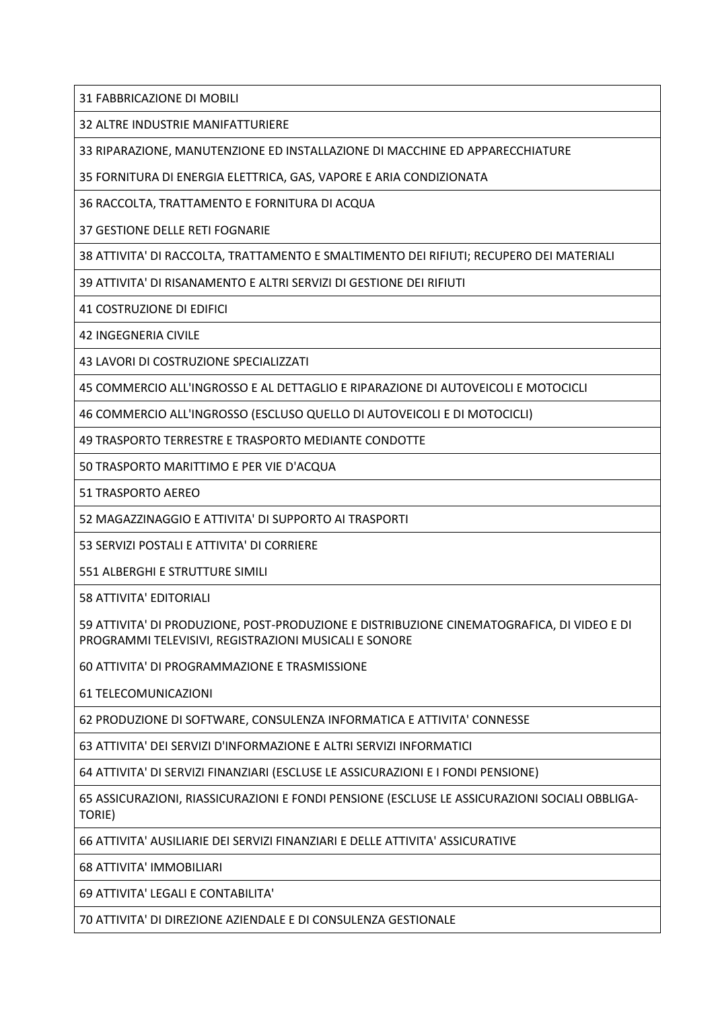31 FABBRICAZIONE DI MOBILI

32 ALTRE INDUSTRIE MANIFATTURIERE

33 RIPARAZIONE, MANUTENZIONE ED INSTALLAZIONE DI MACCHINE ED APPARECCHIATURE

35 FORNITURA DI ENERGIA ELETTRICA, GAS, VAPORE E ARIA CONDIZIONATA

36 RACCOLTA, TRATTAMENTO E FORNITURA DI ACQUA

37 GESTIONE DELLE RETI FOGNARIE

38 ATTIVITA' DI RACCOLTA, TRATTAMENTO E SMALTIMENTO DEI RIFIUTI; RECUPERO DEI MATERIALI

39 ATTIVITA' DI RISANAMENTO E ALTRI SERVIZI DI GESTIONE DEI RIFIUTI

41 COSTRUZIONE DI EDIFICI

42 INGEGNERIA CIVILE

43 LAVORI DI COSTRUZIONE SPECIALIZZATI

45 COMMERCIO ALL'INGROSSO E AL DETTAGLIO E RIPARAZIONE DI AUTOVEICOLI E MOTOCICLI

46 COMMERCIO ALL'INGROSSO (ESCLUSO QUELLO DI AUTOVEICOLI E DI MOTOCICLI)

49 TRASPORTO TERRESTRE E TRASPORTO MEDIANTE CONDOTTE

50 TRASPORTO MARITTIMO E PER VIE D'ACQUA

51 TRASPORTO AEREO

52 MAGAZZINAGGIO E ATTIVITA' DI SUPPORTO AI TRASPORTI

53 SERVIZI POSTALI E ATTIVITA' DI CORRIERE

551 ALBERGHI E STRUTTURE SIMILI

58 ATTIVITA' EDITORIALI

59 ATTIVITA' DI PRODUZIONE, POST-PRODUZIONE E DISTRIBUZIONE CINEMATOGRAFICA, DI VIDEO E DI PROGRAMMI TELEVISIVI, REGISTRAZIONI MUSICALI E SONORE

60 ATTIVITA' DI PROGRAMMAZIONE E TRASMISSIONE

61 TELECOMUNICAZIONI

62 PRODUZIONE DI SOFTWARE, CONSULENZA INFORMATICA E ATTIVITA' CONNESSE

63 ATTIVITA' DEI SERVIZI D'INFORMAZIONE E ALTRI SERVIZI INFORMATICI

64 ATTIVITA' DI SERVIZI FINANZIARI (ESCLUSE LE ASSICURAZIONI E I FONDI PENSIONE)

65 ASSICURAZIONI, RIASSICURAZIONI E FONDI PENSIONE (ESCLUSE LE ASSICURAZIONI SOCIALI OBBLIGA-TORIE)

66 ATTIVITA' AUSILIARIE DEI SERVIZI FINANZIARI E DELLE ATTIVITA' ASSICURATIVE

68 ATTIVITA' IMMOBILIARI

69 ATTIVITA' LEGALI E CONTABILITA'

70 ATTIVITA' DI DIREZIONE AZIENDALE E DI CONSULENZA GESTIONALE